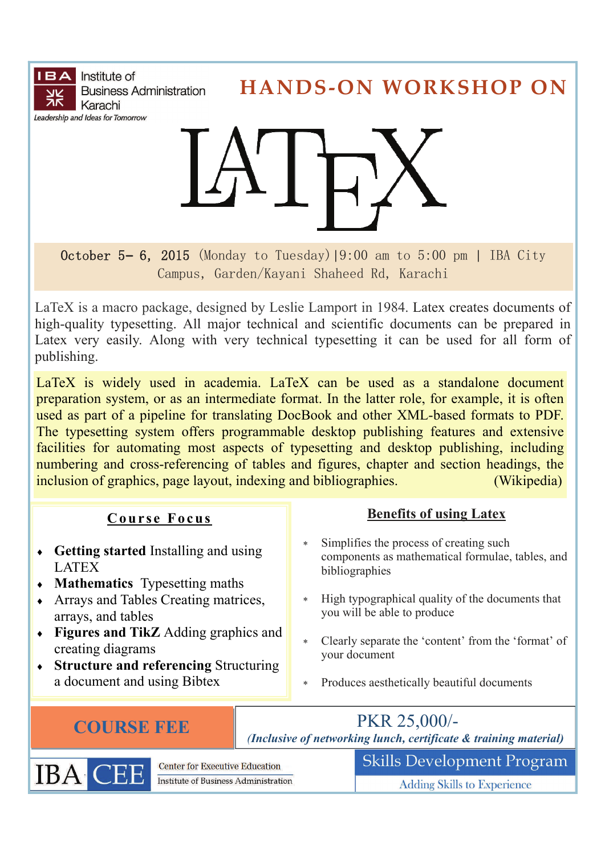**IBA** Institute of **Business Administration** Karachi Leadership and Ideas for Tomorrow

**HANDS‐ON WORKSHOP ON**



October 5**–** 6, 2015 (Monday to Tuesday)|9:00 am to 5:00 pm | IBA City Campus, Garden/Kayani Shaheed Rd, Karachi

LaTeX is a macro package, designed by Leslie Lamport in 1984. Latex creates documents of high-quality typesetting. All major technical and scientific documents can be prepared in Latex very easily. Along with very technical typesetting it can be used for all form of publishing.

LaTeX is widely used in [academia.](https://en.wikipedia.org/wiki/Academia) LaTeX can be used as a standalone document preparation system, or as an intermediate format. In the latter role, for example, it is often used as part of a pipeline for translating [DocBook](https://en.wikipedia.org/wiki/DocBook) and other [XML](https://en.wikipedia.org/wiki/XML)-based formats to [PDF](https://en.wikipedia.org/wiki/PDF). The typesetting system offers programmable [desktop publishing](https://en.wikipedia.org/wiki/Desktop_publishing) features and extensive facilities for automating most aspects of typesetting and desktop publishing, including numbering and cross-referencing of tables and figures, chapter and section headings, the inclusion of graphics, page layout, indexing and [bibliographies](https://en.wikipedia.org/wiki/Bibliography). (Wikipedia)

# **Course Focus**

- **Getting started** Installing and using LATEX
- **Mathematics** Typesetting maths
- Arrays and Tables Creating matrices, arrays, and tables
- **Figures and TikZ** Adding graphics and creating diagrams
- **Structure and referencing** Structuring a document and using Bibtex

# **Benefits of using Latex**

- Simplifies the process of creating such components as mathematical formulae, tables, and bibliographies
- High typographical quality of the documents that you will be able to produce
- Clearly separate the 'content' from the 'format' of your document
- Produces aesthetically beautiful documents

**COURSE FEE** *(Inclusive of networking lunch, certificate & training material)* 



**Center for Executive Education** Institute of Business Administration

**Adding Skills to Experience** 

**Skills Development Program**